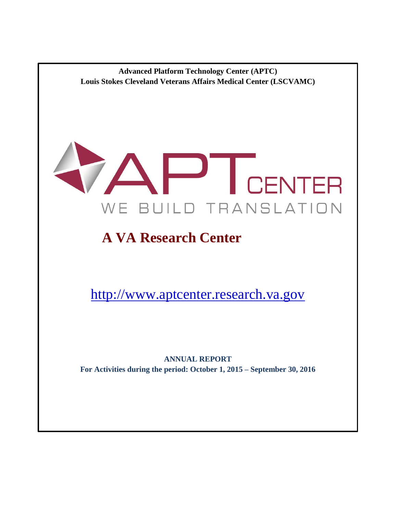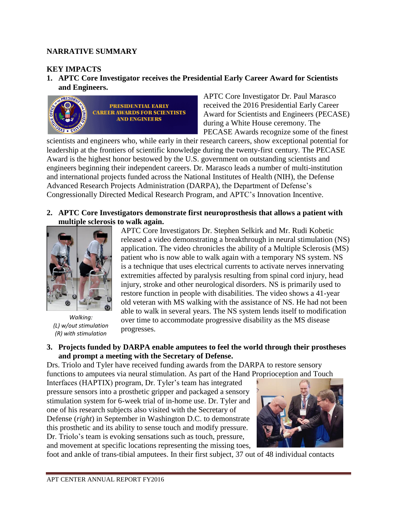### **NARRATIVE SUMMARY**

## **KEY IMPACTS**

**1. APTC Core Investigator receives the Presidential Early Career Award for Scientists and Engineers.**



APTC Core Investigator Dr. Paul Marasco received the 2016 Presidential Early Career Award for Scientists and Engineers (PECASE) during a White House ceremony. The PECASE Awards recognize some of the finest

scientists and engineers who, while early in their research careers, show exceptional potential for leadership at the frontiers of scientific knowledge during the twenty-first century. The PECASE Award is the highest honor bestowed by the U.S. government on outstanding scientists and engineers beginning their independent careers. Dr. Marasco leads a number of multi-institution and international projects funded across the National Institutes of Health (NIH), the Defense Advanced Research Projects Administration (DARPA), the Department of Defense's Congressionally Directed Medical Research Program, and APTC's Innovation Incentive.

**2. APTC Core Investigators demonstrate first neuroprosthesis that allows a patient with multiple sclerosis to walk again.** 



*Walking: (L) w/out stimulation (R) with stimulation*

APTC Core Investigators Dr. Stephen Selkirk and Mr. Rudi Kobetic released a video demonstrating a breakthrough in neural stimulation (NS) application. The video chronicles the ability of a Multiple Sclerosis (MS) patient who is now able to walk again with a temporary NS system. NS is a technique that uses electrical currents to activate nerves innervating extremities affected by paralysis resulting from spinal cord injury, head injury, stroke and other neurological disorders. NS is primarily used to restore function in people with disabilities. The video shows a 41-year old veteran with MS walking with the assistance of NS. He had not been able to walk in several years. The NS system lends itself to modification over time to accommodate progressive disability as the MS disease progresses.

#### **3. Projects funded by DARPA enable amputees to feel the world through their prostheses and prompt a meeting with the Secretary of Defense.**

Drs. Triolo and Tyler have received funding awards from the DARPA to restore sensory functions to amputees via neural stimulation. As part of the Hand Proprioception and Touch

Interfaces (HAPTIX) program, Dr. Tyler's team has integrated pressure sensors into a prosthetic gripper and packaged a sensory stimulation system for 6-week trial of in-home use. Dr. Tyler and one of his research subjects also visited with the Secretary of Defense (*right*) in September in Washington D.C. to demonstrate this prosthetic and its ability to sense touch and modify pressure. Dr. Triolo's team is evoking sensations such as touch, pressure, and movement at specific locations representing the missing toes,



foot and ankle of trans-tibial amputees. In their first subject, 37 out of 48 individual contacts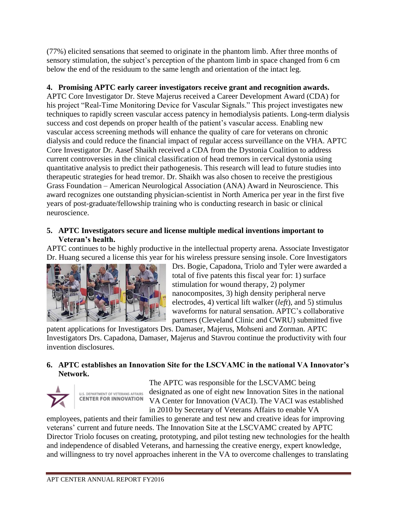(77%) elicited sensations that seemed to originate in the phantom limb. After three months of sensory stimulation, the subject's perception of the phantom limb in space changed from 6 cm below the end of the residuum to the same length and orientation of the intact leg.

# **4. Promising APTC early career investigators receive grant and recognition awards.**

APTC Core Investigator Dr. Steve Majerus received a Career Development Award (CDA) for his project "Real-Time Monitoring Device for Vascular Signals." This project investigates new techniques to rapidly screen vascular access patency in hemodialysis patients. Long-term dialysis success and cost depends on proper health of the patient's vascular access. Enabling new vascular access screening methods will enhance the quality of care for veterans on chronic dialysis and could reduce the financial impact of regular access surveillance on the VHA. APTC Core Investigator Dr. Aasef Shaikh received a CDA from the Dystonia Coalition to address current controversies in the clinical classification of head tremors in cervical dystonia using quantitative analysis to predict their pathogenesis. This research will lead to future studies into therapeutic strategies for head tremor. Dr. Shaikh was also chosen to receive the prestigious Grass Foundation – American Neurological Association (ANA) Award in Neuroscience. This award recognizes one outstanding physician-scientist in North America per year in the first five years of post-graduate/fellowship training who is conducting research in basic or clinical neuroscience.

### **5. APTC Investigators secure and license multiple medical inventions important to Veteran's health.**

APTC continues to be highly productive in the intellectual property arena. Associate Investigator Dr. Huang secured a license this year for his wireless pressure sensing insole. Core Investigators



Drs. Bogie, Capadona, Triolo and Tyler were awarded a total of five patents this fiscal year for: 1) surface stimulation for wound therapy, 2) polymer nanocomposites, 3) high density peripheral nerve electrodes, 4) vertical lift walker (*left*), and 5) stimulus waveforms for natural sensation. APTC's collaborative partners (Cleveland Clinic and CWRU) submitted five

patent applications for Investigators Drs. Damaser, Majerus, Mohseni and Zorman. APTC Investigators Drs. Capadona, Damaser, Majerus and Stavrou continue the productivity with four invention disclosures.

## **6. APTC establishes an Innovation Site for the LSCVAMC in the national VA Innovator's Network.**



The APTC was responsible for the LSCVAMC being designated as one of eight new Innovation Sites in the national VA Center for Innovation (VACI). The VACI was established in 2010 by Secretary of Veterans Affairs to enable VA

employees, patients and their families to generate and test new and creative ideas for improving veterans' current and future needs. The Innovation Site at the LSCVAMC created by APTC Director Triolo focuses on creating, prototyping, and pilot testing new technologies for the health and independence of disabled Veterans, and harnessing the creative energy, expert knowledge, and willingness to try novel approaches inherent in the VA to overcome challenges to translating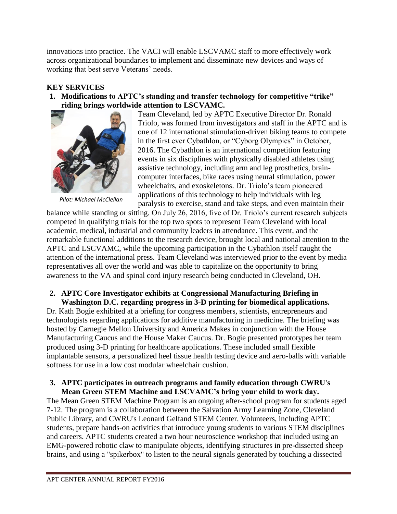innovations into practice. The VACI will enable LSCVAMC staff to more effectively work across organizational boundaries to implement and disseminate new devices and ways of working that best serve Veterans' needs.

## **KEY SERVICES**

**1. Modifications to APTC's standing and transfer technology for competitive "trike" riding brings worldwide attention to LSCVAMC.**



*Pilot: Michael McClellan*

Team Cleveland, led by APTC Executive Director Dr. Ronald Triolo, was formed from investigators and staff in the APTC and is one of 12 international stimulation-driven biking teams to compete in the first ever Cybathlon, or "Cyborg Olympics" in October, 2016. The Cybathlon is an international competition featuring events in six disciplines with physically disabled athletes using assistive technology, including arm and leg prosthetics, braincomputer interfaces, bike races using neural stimulation, power wheelchairs, and exoskeletons. Dr. Triolo's team pioneered applications of this technology to help individuals with leg paralysis to exercise, stand and take steps, and even maintain their

balance while standing or sitting. On July 26, 2016, five of Dr. Triolo's current research subjects competed in qualifying trials for the top two spots to represent Team Cleveland with local academic, medical, industrial and community leaders in attendance. This event, and the remarkable functional additions to the research device, brought local and national attention to the APTC and LSCVAMC, while the upcoming participation in the Cybathlon itself caught the attention of the international press. Team Cleveland was interviewed prior to the event by media representatives all over the world and was able to capitalize on the opportunity to bring awareness to the VA and spinal cord injury research being conducted in Cleveland, OH.

### **2. APTC Core Investigator exhibits at Congressional Manufacturing Briefing in Washington D.C. regarding progress in 3-D printing for biomedical applications.**

Dr. Kath Bogie exhibited at a briefing for congress members, scientists, entrepreneurs and technologists regarding applications for additive manufacturing in medicine. The briefing was hosted by Carnegie Mellon University and America Makes in conjunction with the House Manufacturing Caucus and the House Maker Caucus. Dr. Bogie presented prototypes her team produced using 3-D printing for healthcare applications. These included small flexible implantable sensors, a personalized heel tissue health testing device and aero-balls with variable softness for use in a low cost modular wheelchair cushion.

#### **3. APTC participates in outreach programs and family education through CWRU's Mean Green STEM Machine and LSCVAMC's bring your child to work day.**

The Mean Green STEM Machine Program is an ongoing after-school program for students aged 7-12. The program is a collaboration between the Salvation Army Learning Zone, Cleveland Public Library, and CWRU's Leonard Gelfand STEM Center. Volunteers, including APTC students, prepare hands-on activities that introduce young students to various STEM disciplines and careers. APTC students created a two hour neuroscience workshop that included using an EMG-powered robotic claw to manipulate objects, identifying structures in pre-dissected sheep brains, and using a "spikerbox" to listen to the neural signals generated by touching a dissected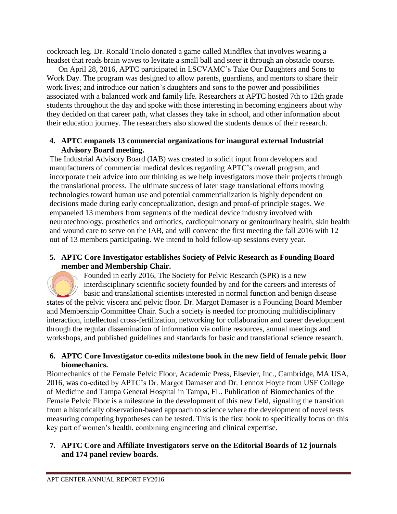cockroach leg. Dr. Ronald Triolo donated a game called Mindflex that involves wearing a headset that reads brain waves to levitate a small ball and steer it through an obstacle course.

On April 28, 2016, APTC participated in LSCVAMC's Take Our Daughters and Sons to Work Day. The program was designed to allow parents, guardians, and mentors to share their work lives; and introduce our nation's daughters and sons to the power and possibilities associated with a balanced work and family life. Researchers at APTC hosted 7th to 12th grade students throughout the day and spoke with those interesting in becoming engineers about why they decided on that career path, what classes they take in school, and other information about their education journey. The researchers also showed the students demos of their research.

## **4. APTC empanels 13 commercial organizations for inaugural external Industrial Advisory Board meeting.**

The Industrial Advisory Board (IAB) was created to solicit input from developers and manufacturers of commercial medical devices regarding APTC's overall program, and incorporate their advice into our thinking as we help investigators move their projects through the translational process. The ultimate success of later stage translational efforts moving technologies toward human use and potential commercialization is highly dependent on decisions made during early conceptualization, design and proof-of principle stages. We empaneled 13 members from segments of the medical device industry involved with neurotechnology, prosthetics and orthotics, cardiopulmonary or genitourinary health, skin health and wound care to serve on the IAB, and will convene the first meeting the fall 2016 with 12 out of 13 members participating. We intend to hold follow-up sessions every year.

## **5. APTC Core Investigator establishes Society of Pelvic Research as Founding Board member and Membership Chair.**

Founded in early 2016, The Society for Pelvic Research (SPR) is a new interdisciplinary scientific society founded by and for the careers and interests of basic and translational scientists interested in normal function and benign disease states of the pelvic viscera and pelvic floor. Dr. Margot Damaser is a Founding Board Member and Membership Committee Chair. Such a society is needed for promoting multidisciplinary interaction, intellectual cross-fertilization, networking for collaboration and career development through the regular dissemination of information via online resources, annual meetings and workshops, and published guidelines and standards for basic and translational science research.

### **6. APTC Core Investigator co-edits milestone book in the new field of female pelvic floor biomechanics.**

Biomechanics of the Female Pelvic Floor, Academic Press, Elsevier, Inc., Cambridge, MA USA, 2016, was co-edited by APTC's Dr. Margot Damaser and Dr. Lennox Hoyte from USF College of Medicine and Tampa General Hospital in Tampa, FL. Publication of Biomechanics of the Female Pelvic Floor is a milestone in the development of this new field, signaling the transition from a historically observation-based approach to science where the development of novel tests measuring competing hypotheses can be tested. This is the first book to specifically focus on this key part of women's health, combining engineering and clinical expertise.

## **7. APTC Core and Affiliate Investigators serve on the Editorial Boards of 12 journals and 174 panel review boards.**